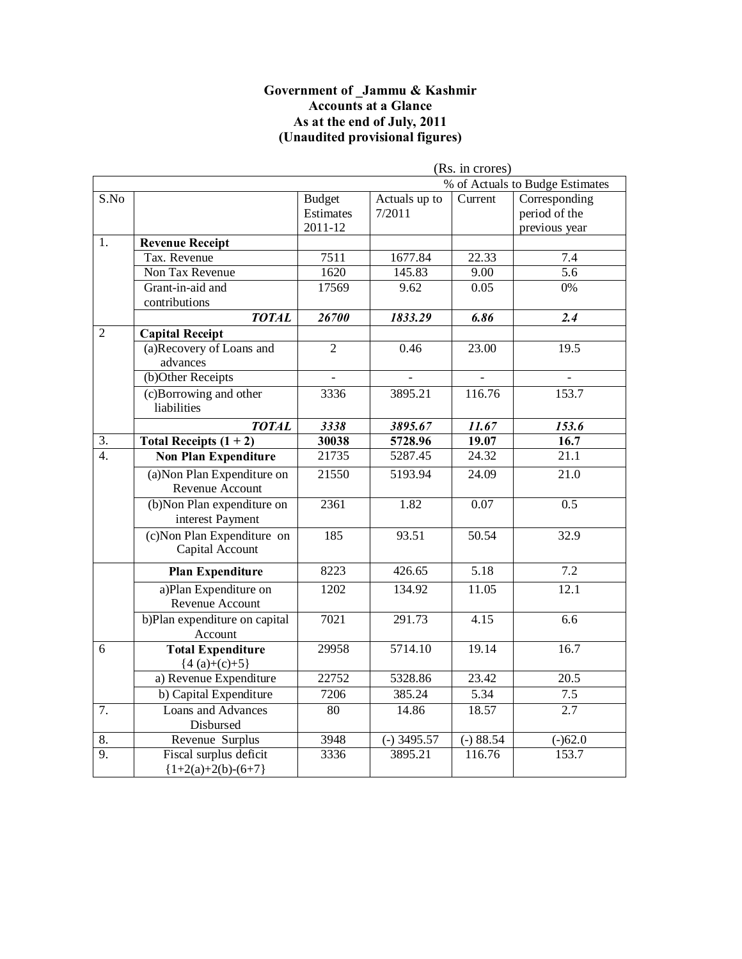#### **Government of \_Jammu & Kashmir Accounts at a Glance As at the end of July, 2011 (Unaudited provisional figures)**

|                  |                               | (Rs. in crores) |               |                   |                                 |
|------------------|-------------------------------|-----------------|---------------|-------------------|---------------------------------|
|                  |                               |                 |               |                   | % of Actuals to Budge Estimates |
| S.No             |                               | <b>Budget</b>   | Actuals up to | Current           | Corresponding                   |
|                  |                               | Estimates       | 7/2011        |                   | period of the                   |
|                  |                               | 2011-12         |               |                   | previous year                   |
| 1.               | <b>Revenue Receipt</b>        |                 |               |                   |                                 |
|                  | Tax. Revenue                  | 7511            | 1677.84       | 22.33             | 7.4                             |
|                  | Non Tax Revenue               | 1620            | 145.83        | 9.00              | 5.6                             |
|                  | Grant-in-aid and              | 17569           | 9.62          | 0.05              | 0%                              |
|                  | contributions                 |                 |               |                   |                                 |
|                  | <b>TOTAL</b>                  | 26700           | 1833.29       | 6.86              | $\overline{2.4}$                |
| $\overline{2}$   | <b>Capital Receipt</b>        |                 |               |                   |                                 |
|                  | (a)Recovery of Loans and      | $\overline{2}$  | 0.46          | 23.00             | 19.5                            |
|                  | advances                      |                 |               |                   |                                 |
|                  | (b)Other Receipts             |                 |               |                   |                                 |
|                  | (c)Borrowing and other        | 3336            | 3895.21       | 116.76            | 153.7                           |
|                  | liabilities                   |                 |               |                   |                                 |
|                  | <b>TOTAL</b>                  | 3338            | 3895.67       | 11.67             | 153.6                           |
| 3.               | Total Receipts $(1 + 2)$      | 30038           | 5728.96       | 19.07             | 16.7                            |
| $\overline{4}$ . | <b>Non Plan Expenditure</b>   | 21735           | 5287.45       | 24.32             | 21.1                            |
|                  | (a) Non Plan Expenditure on   | 21550           | 5193.94       | 24.09             | 21.0                            |
|                  | Revenue Account               |                 |               |                   |                                 |
|                  | (b)Non Plan expenditure on    | 2361            | 1.82          | $\overline{0.07}$ | 0.5                             |
|                  | interest Payment              |                 |               |                   |                                 |
|                  | (c) Non Plan Expenditure on   | 185             | 93.51         | 50.54             | 32.9                            |
|                  | Capital Account               |                 |               |                   |                                 |
|                  | <b>Plan Expenditure</b>       | 8223            | 426.65        | $\overline{5.18}$ | $\overline{7.2}$                |
|                  | a)Plan Expenditure on         | 1202            | 134.92        | 11.05             | 12.1                            |
|                  | Revenue Account               |                 |               |                   |                                 |
|                  | b)Plan expenditure on capital | 7021            | 291.73        | 4.15              | 6.6                             |
|                  | Account                       |                 |               |                   |                                 |
| 6                | <b>Total Expenditure</b>      | 29958           | 5714.10       | 19.14             | 16.7                            |
|                  | ${4(a)+(c)+5}$                |                 |               |                   |                                 |
|                  | a) Revenue Expenditure        | 22752           | 5328.86       | 23.42             | $\overline{20.5}$               |
|                  | b) Capital Expenditure        | 7206            | 385.24        | $\overline{5.34}$ | 7.5                             |
| 7.               | Loans and Advances            | 80              | 14.86         | 18.57             | 2.7                             |
|                  | Disbursed                     |                 |               |                   |                                 |
| 8.               | Revenue Surplus               | 3948            | $(-)$ 3495.57 | $(-) 88.54$       | $(-)62.0$                       |
| $\overline{9}$ . | Fiscal surplus deficit        | 3336            | 3895.21       | 116.76            | 153.7                           |
|                  | ${1+2(a)+2(b)-(6+7)}$         |                 |               |                   |                                 |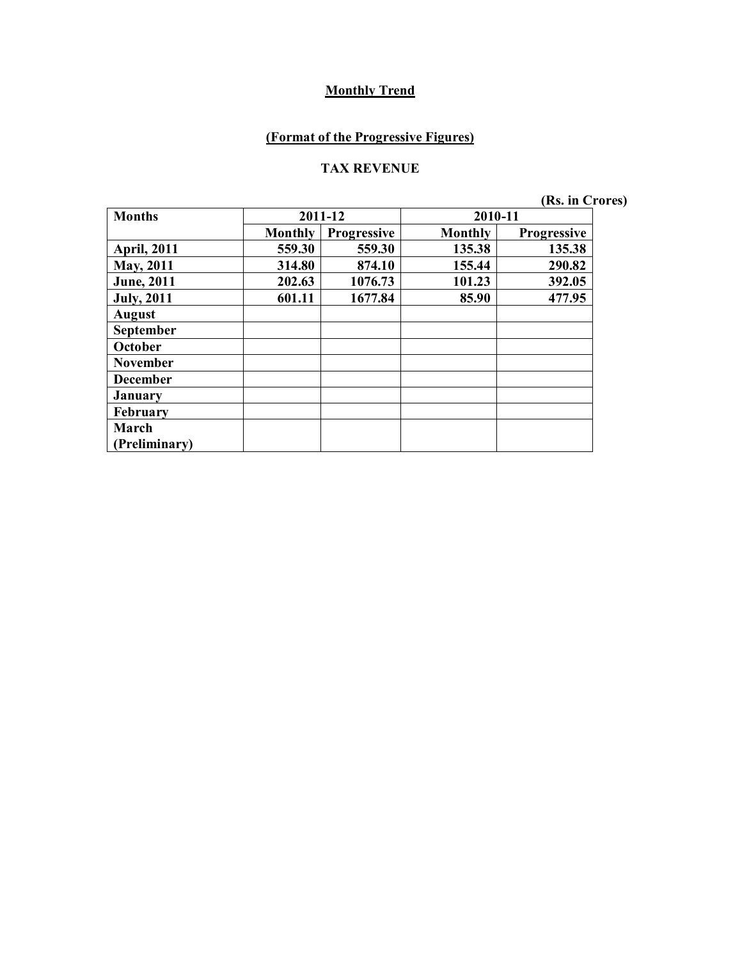### **(Format of the Progressive Figures)**

#### **TAX REVENUE**

**(Rs. in Crores)**

| <b>Months</b>        |                | 2011-12            | 2010-11        |                    |
|----------------------|----------------|--------------------|----------------|--------------------|
|                      | <b>Monthly</b> | <b>Progressive</b> | <b>Monthly</b> | <b>Progressive</b> |
| <b>April, 2011</b>   | 559.30         | 559.30             | 135.38         | 135.38             |
| May, 2011            | 314.80         | 874.10             | 155.44         | 290.82             |
| <b>June</b> , 2011   | 202.63         | 1076.73            | 101.23         | 392.05             |
| <b>July, 2011</b>    | 601.11         | 1677.84            | 85.90          | 477.95             |
| <b>August</b>        |                |                    |                |                    |
| <b>September</b>     |                |                    |                |                    |
| October              |                |                    |                |                    |
| <b>November</b>      |                |                    |                |                    |
| <b>December</b>      |                |                    |                |                    |
| <b>January</b>       |                |                    |                |                    |
| February             |                |                    |                |                    |
| March                |                |                    |                |                    |
| <b>Preliminary</b> ) |                |                    |                |                    |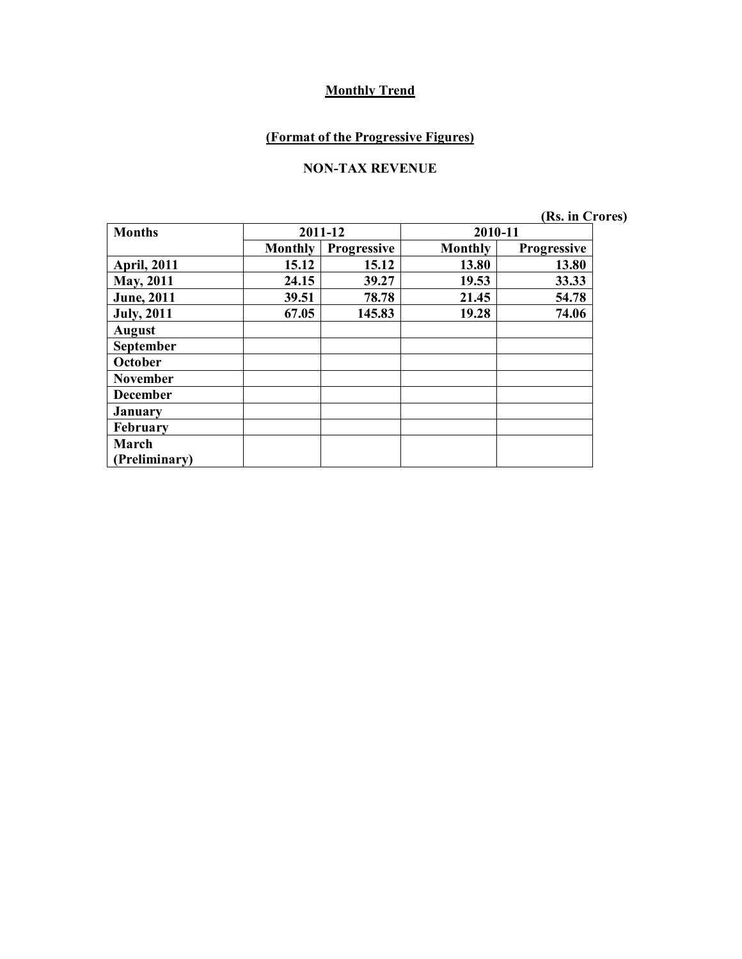### **(Format of the Progressive Figures)**

#### **NON-TAX REVENUE**

**(Rs. in Crores)**

| <b>Months</b>      |                | 2011-12            | 2010-11        |                    |
|--------------------|----------------|--------------------|----------------|--------------------|
|                    | <b>Monthly</b> | <b>Progressive</b> | <b>Monthly</b> | <b>Progressive</b> |
| <b>April, 2011</b> | 15.12          | 15.12              | 13.80          | 13.80              |
| <b>May, 2011</b>   | 24.15          | 39.27              | 19.53          | 33.33              |
| <b>June</b> , 2011 | 39.51          | 78.78              | 21.45          | 54.78              |
| <b>July, 2011</b>  | 67.05          | 145.83             | 19.28          | 74.06              |
| <b>August</b>      |                |                    |                |                    |
| September          |                |                    |                |                    |
| October            |                |                    |                |                    |
| <b>November</b>    |                |                    |                |                    |
| <b>December</b>    |                |                    |                |                    |
| <b>January</b>     |                |                    |                |                    |
| February           |                |                    |                |                    |
| March              |                |                    |                |                    |
| (Preliminary)      |                |                    |                |                    |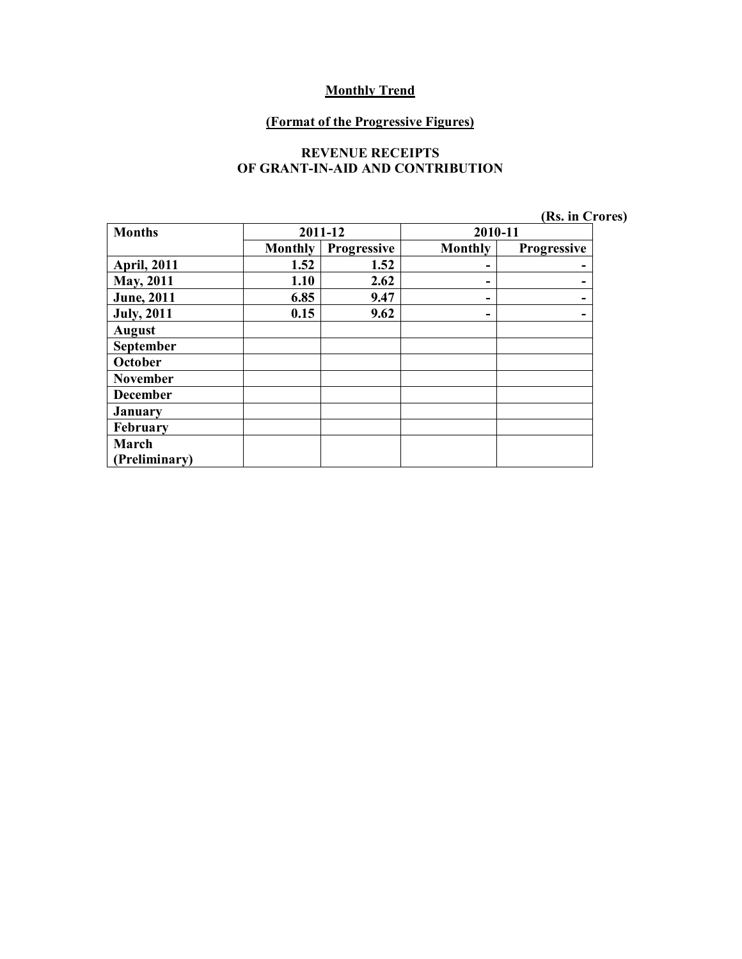#### **(Format of the Progressive Figures)**

#### **REVENUE RECEIPTS OF GRANT-IN-AID AND CONTRIBUTION**

|  |  | (Rs. in Crores) |
|--|--|-----------------|
|--|--|-----------------|

| <b>Months</b>      |                | 2011-12     | 2010-11 |             |
|--------------------|----------------|-------------|---------|-------------|
|                    | <b>Monthly</b> | Progressive | Monthly | Progressive |
| <b>April, 2011</b> | 1.52           | 1.52        | -       |             |
| <b>May, 2011</b>   | 1.10           | 2.62        | -       |             |
| <b>June</b> , 2011 | 6.85           | 9.47        | -       |             |
| <b>July, 2011</b>  | 0.15           | 9.62        | -       |             |
| <b>August</b>      |                |             |         |             |
| <b>September</b>   |                |             |         |             |
| October            |                |             |         |             |
| <b>November</b>    |                |             |         |             |
| <b>December</b>    |                |             |         |             |
| <b>January</b>     |                |             |         |             |
| February           |                |             |         |             |
| March              |                |             |         |             |
| (Preliminary)      |                |             |         |             |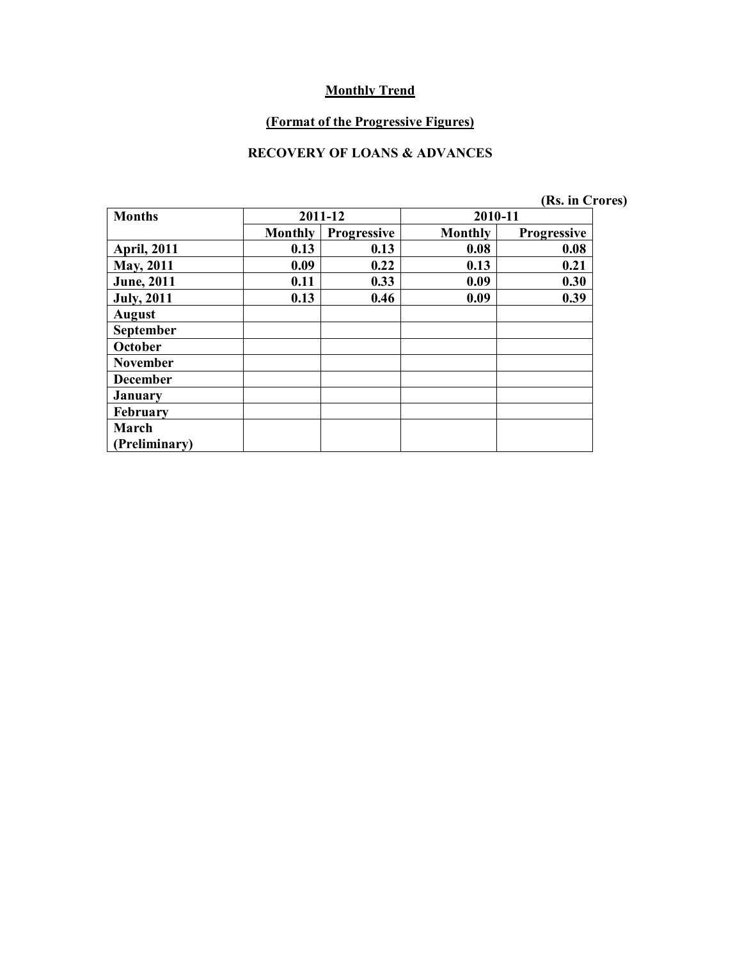#### **(Format of the Progressive Figures)**

#### **RECOVERY OF LOANS & ADVANCES**

|  | (Rs. in Crores) |
|--|-----------------|
|  |                 |

| <b>Months</b>      |                | 2011-12            | 2010-11        |                    |
|--------------------|----------------|--------------------|----------------|--------------------|
|                    | <b>Monthly</b> | <b>Progressive</b> | <b>Monthly</b> | <b>Progressive</b> |
| <b>April, 2011</b> | 0.13           | 0.13               | 0.08           | 0.08               |
| May, 2011          | 0.09           | 0.22               | 0.13           | 0.21               |
| <b>June</b> , 2011 | 0.11           | 0.33               | 0.09           | 0.30               |
| <b>July, 2011</b>  | 0.13           | 0.46               | 0.09           | 0.39               |
| <b>August</b>      |                |                    |                |                    |
| September          |                |                    |                |                    |
| October            |                |                    |                |                    |
| <b>November</b>    |                |                    |                |                    |
| <b>December</b>    |                |                    |                |                    |
| <b>January</b>     |                |                    |                |                    |
| February           |                |                    |                |                    |
| March              |                |                    |                |                    |
| (Preliminary)      |                |                    |                |                    |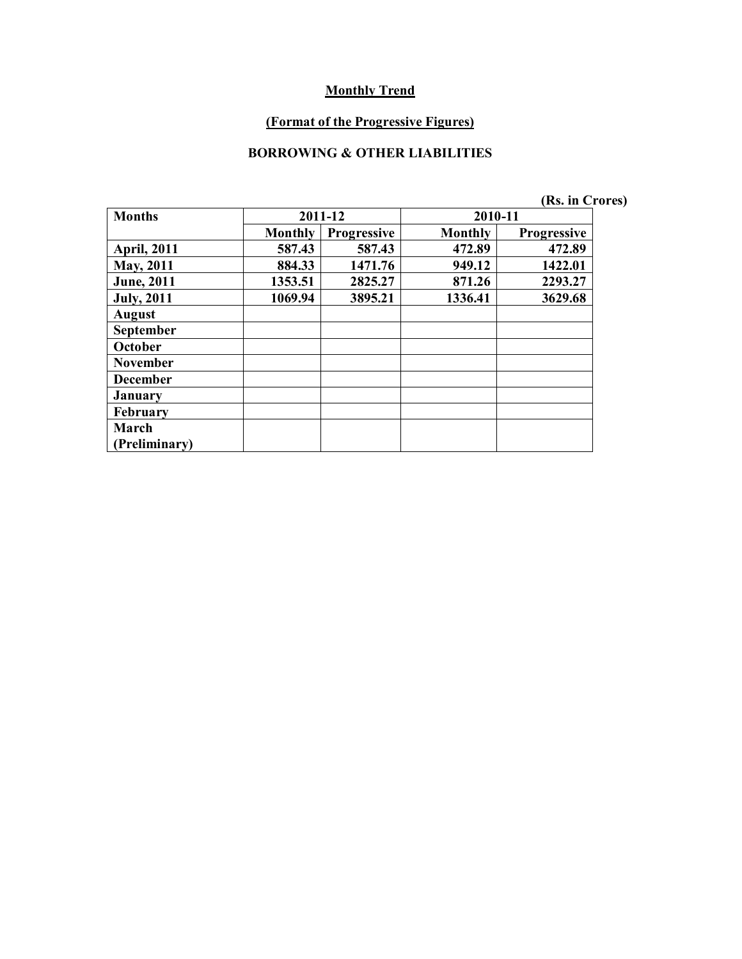#### **(Format of the Progressive Figures)**

#### **BORROWING & OTHER LIABILITIES**

|                    |                |                    |         | (Rs. in Crores)    |  |
|--------------------|----------------|--------------------|---------|--------------------|--|
| <b>Months</b>      |                | 2011-12            | 2010-11 |                    |  |
|                    | <b>Monthly</b> | <b>Progressive</b> | Monthly | <b>Progressive</b> |  |
| <b>April, 2011</b> | 587.43         | 587.43             | 472.89  | 472.89             |  |
| <b>May, 2011</b>   | 884.33         | 1471.76            | 949.12  | 1422.01            |  |
| <b>June</b> , 2011 | 1353.51        | 2825.27            | 871.26  | 2293.27            |  |
| <b>July, 2011</b>  | 1069.94        | 3895.21            | 1336.41 | 3629.68            |  |
| <b>August</b>      |                |                    |         |                    |  |
| September          |                |                    |         |                    |  |
| October            |                |                    |         |                    |  |
| <b>November</b>    |                |                    |         |                    |  |
| <b>December</b>    |                |                    |         |                    |  |
| <b>January</b>     |                |                    |         |                    |  |
| <b>February</b>    |                |                    |         |                    |  |
| March              |                |                    |         |                    |  |
| (Preliminary)      |                |                    |         |                    |  |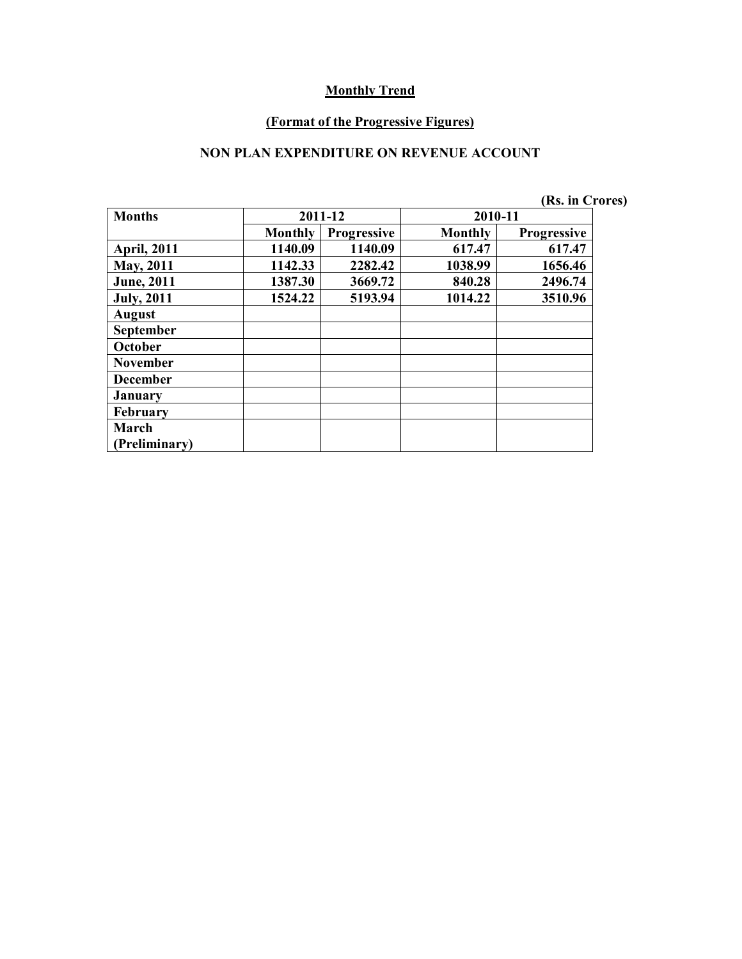#### **(Format of the Progressive Figures)**

#### **NON PLAN EXPENDITURE ON REVENUE ACCOUNT**

|                    |                |                    |         | (Rs. in Crores)    |  |
|--------------------|----------------|--------------------|---------|--------------------|--|
| <b>Months</b>      |                | 2011-12            | 2010-11 |                    |  |
|                    | <b>Monthly</b> | <b>Progressive</b> | Monthly | <b>Progressive</b> |  |
| <b>April, 2011</b> | 1140.09        | 1140.09            | 617.47  | 617.47             |  |
| <b>May</b> , 2011  | 1142.33        | 2282.42            | 1038.99 | 1656.46            |  |
| <b>June</b> , 2011 | 1387.30        | 3669.72            | 840.28  | 2496.74            |  |
| <b>July</b> , 2011 | 1524.22        | 5193.94            | 1014.22 | 3510.96            |  |
| <b>August</b>      |                |                    |         |                    |  |
| September          |                |                    |         |                    |  |
| October            |                |                    |         |                    |  |
| <b>November</b>    |                |                    |         |                    |  |
| <b>December</b>    |                |                    |         |                    |  |
| <b>January</b>     |                |                    |         |                    |  |
| <b>February</b>    |                |                    |         |                    |  |
| March              |                |                    |         |                    |  |
| (Preliminary)      |                |                    |         |                    |  |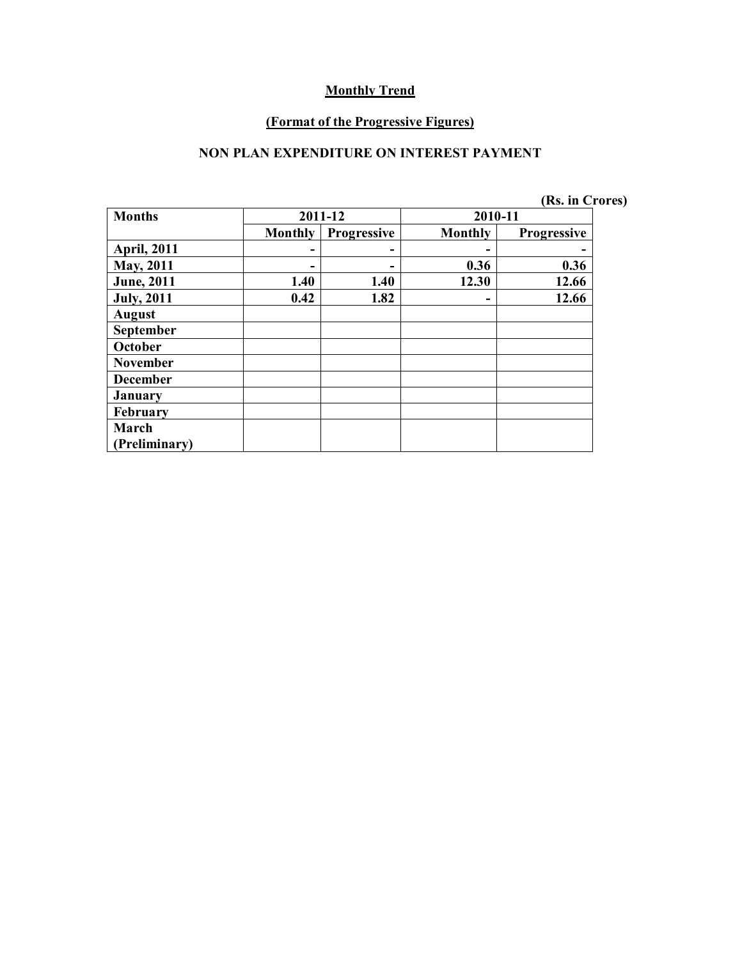#### **(Format of the Progressive Figures)**

#### **NON PLAN EXPENDITURE ON INTEREST PAYMENT**

|  |  |  |  | (Rs. in Crores) |  |
|--|--|--|--|-----------------|--|
|--|--|--|--|-----------------|--|

| <b>Months</b>      |                | 2011-12            | 2010-11        |                    |
|--------------------|----------------|--------------------|----------------|--------------------|
|                    | <b>Monthly</b> | <b>Progressive</b> | <b>Monthly</b> | <b>Progressive</b> |
| <b>April, 2011</b> |                |                    |                |                    |
| May, 2011          |                |                    | 0.36           | 0.36               |
| <b>June</b> , 2011 | 1.40           | 1.40               | 12.30          | 12.66              |
| <b>July, 2011</b>  | 0.42           | 1.82               |                | 12.66              |
| <b>August</b>      |                |                    |                |                    |
| September          |                |                    |                |                    |
| October            |                |                    |                |                    |
| <b>November</b>    |                |                    |                |                    |
| <b>December</b>    |                |                    |                |                    |
| <b>January</b>     |                |                    |                |                    |
| February           |                |                    |                |                    |
| March              |                |                    |                |                    |
| Preliminary)       |                |                    |                |                    |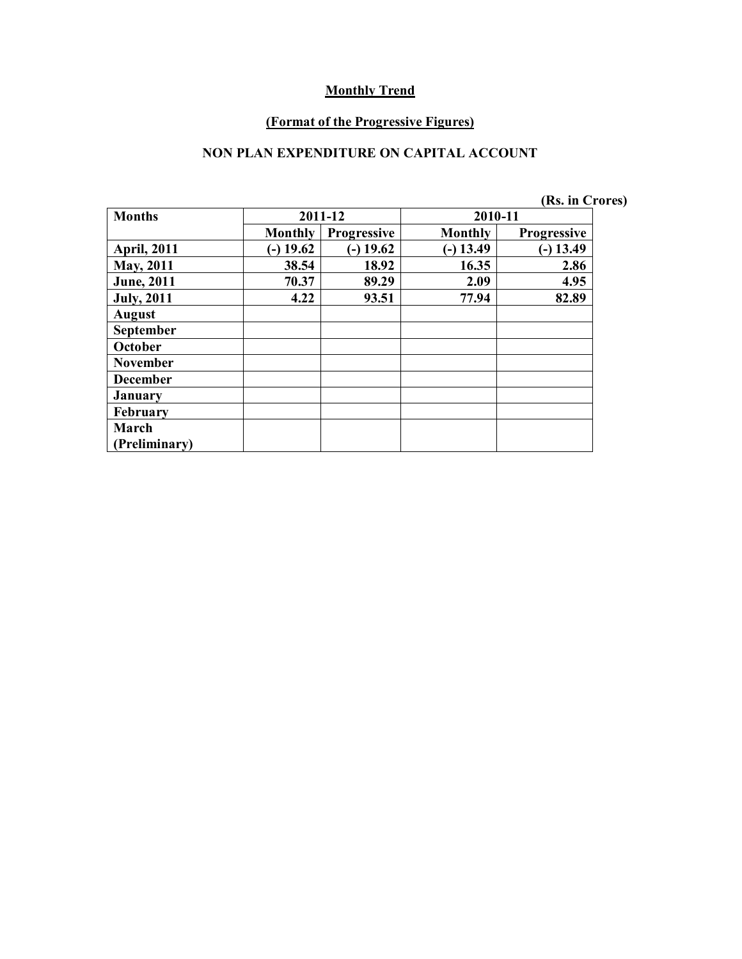#### **(Format of the Progressive Figures)**

#### **NON PLAN EXPENDITURE ON CAPITAL ACCOUNT**

|                    |                |                    |                | (Rs. in Crores)    |  |
|--------------------|----------------|--------------------|----------------|--------------------|--|
| <b>Months</b>      |                | 2011-12            | 2010-11        |                    |  |
|                    | <b>Monthly</b> | <b>Progressive</b> | <b>Monthly</b> | <b>Progressive</b> |  |
| <b>April, 2011</b> | $(-)$ 19.62    | $(-) 19.62$        | $(-)$ 13.49    | $(-) 13.49$        |  |
| <b>May, 2011</b>   | 38.54          | 18.92              | 16.35          | 2.86               |  |
| <b>June</b> , 2011 | 70.37          | 89.29              | 2.09           | 4.95               |  |
| <b>July, 2011</b>  | 4.22           | 93.51              | 77.94          | 82.89              |  |
| <b>August</b>      |                |                    |                |                    |  |
| September          |                |                    |                |                    |  |
| October            |                |                    |                |                    |  |
| <b>November</b>    |                |                    |                |                    |  |
| <b>December</b>    |                |                    |                |                    |  |
| <b>January</b>     |                |                    |                |                    |  |
| February           |                |                    |                |                    |  |
| March              |                |                    |                |                    |  |
| (Preliminary)      |                |                    |                |                    |  |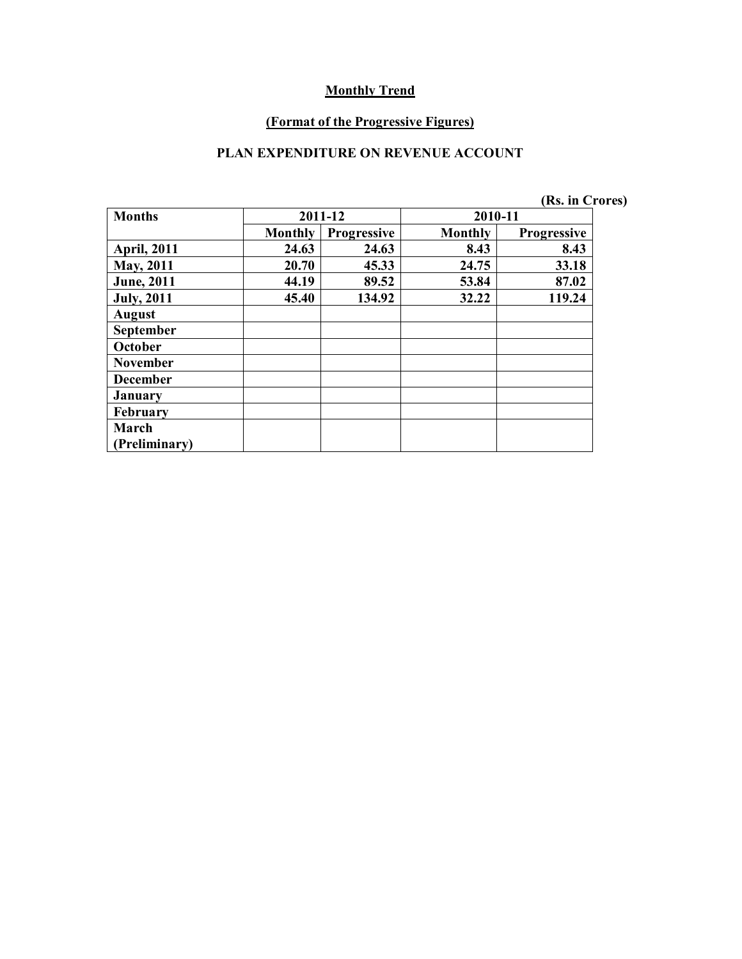#### **(Format of the Progressive Figures)**

#### **PLAN EXPENDITURE ON REVENUE ACCOUNT**

|                    |                |                    |         | (Rs. in Crores)    |
|--------------------|----------------|--------------------|---------|--------------------|
| <b>Months</b>      |                | 2011-12            | 2010-11 |                    |
|                    | <b>Monthly</b> | <b>Progressive</b> | Monthly | <b>Progressive</b> |
| <b>April, 2011</b> | 24.63          | 24.63              | 8.43    | 8.43               |
| <b>May, 2011</b>   | 20.70          | 45.33              | 24.75   | 33.18              |
| <b>June</b> , 2011 | 44.19          | 89.52              | 53.84   | 87.02              |
| <b>July</b> , 2011 | 45.40          | 134.92             | 32.22   | 119.24             |
| <b>August</b>      |                |                    |         |                    |
| September          |                |                    |         |                    |
| October            |                |                    |         |                    |
| <b>November</b>    |                |                    |         |                    |
| <b>December</b>    |                |                    |         |                    |
| January            |                |                    |         |                    |
| <b>February</b>    |                |                    |         |                    |
| March              |                |                    |         |                    |
| (Preliminary)      |                |                    |         |                    |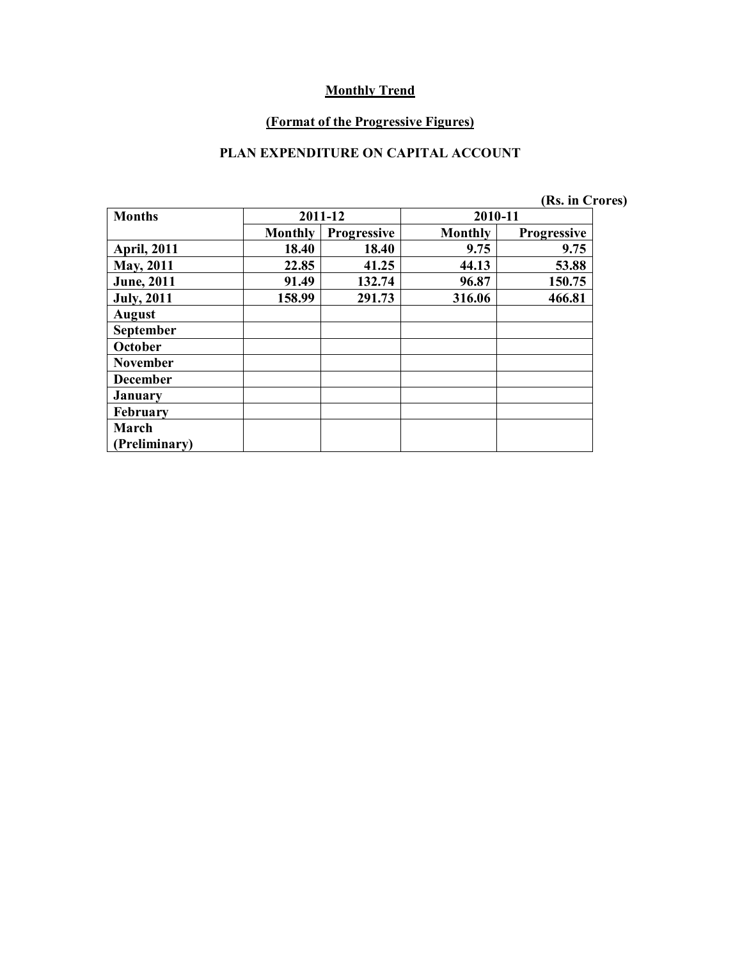#### **(Format of the Progressive Figures)**

#### **PLAN EXPENDITURE ON CAPITAL ACCOUNT**

|                    |                |                    |         | (Rs. in Crores)    |
|--------------------|----------------|--------------------|---------|--------------------|
| <b>Months</b>      |                | 2011-12            | 2010-11 |                    |
|                    | <b>Monthly</b> | <b>Progressive</b> | Monthly | <b>Progressive</b> |
| <b>April, 2011</b> | 18.40          | 18.40              | 9.75    | 9.75               |
| <b>May</b> , 2011  | 22.85          | 41.25              | 44.13   | 53.88              |
| <b>June</b> , 2011 | 91.49          | 132.74             | 96.87   | 150.75             |
| <b>July, 2011</b>  | 158.99         | 291.73             | 316.06  | 466.81             |
| <b>August</b>      |                |                    |         |                    |
| September          |                |                    |         |                    |
| October            |                |                    |         |                    |
| <b>November</b>    |                |                    |         |                    |
| <b>December</b>    |                |                    |         |                    |
| <b>January</b>     |                |                    |         |                    |
| February           |                |                    |         |                    |
| March              |                |                    |         |                    |
| (Preliminary)      |                |                    |         |                    |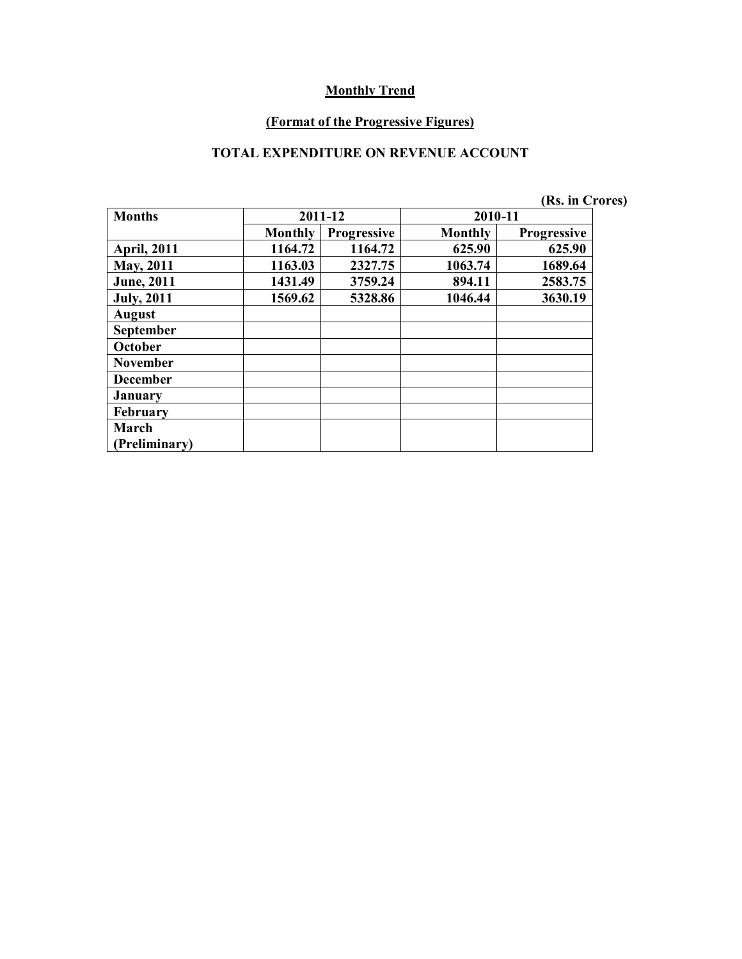#### **(Format of the Progressive Figures)**

#### **TOTAL EXPENDITURE ON REVENUE ACCOUNT**

|                    |                |                    |                | (Rs. in Crores)    |
|--------------------|----------------|--------------------|----------------|--------------------|
| <b>Months</b>      |                | 2011-12            | 2010-11        |                    |
|                    | <b>Monthly</b> | <b>Progressive</b> | <b>Monthly</b> | <b>Progressive</b> |
| <b>April, 2011</b> | 1164.72        | 1164.72            | 625.90         | 625.90             |
| May, 2011          | 1163.03        | 2327.75            | 1063.74        | 1689.64            |
| <b>June</b> , 2011 | 1431.49        | 3759.24            | 894.11         | 2583.75            |
| <b>July</b> , 2011 | 1569.62        | 5328.86            | 1046.44        | 3630.19            |
| <b>August</b>      |                |                    |                |                    |
| September          |                |                    |                |                    |
| October            |                |                    |                |                    |
| <b>November</b>    |                |                    |                |                    |
| <b>December</b>    |                |                    |                |                    |
| <b>January</b>     |                |                    |                |                    |
| <b>February</b>    |                |                    |                |                    |
| March              |                |                    |                |                    |
| (Preliminary)      |                |                    |                |                    |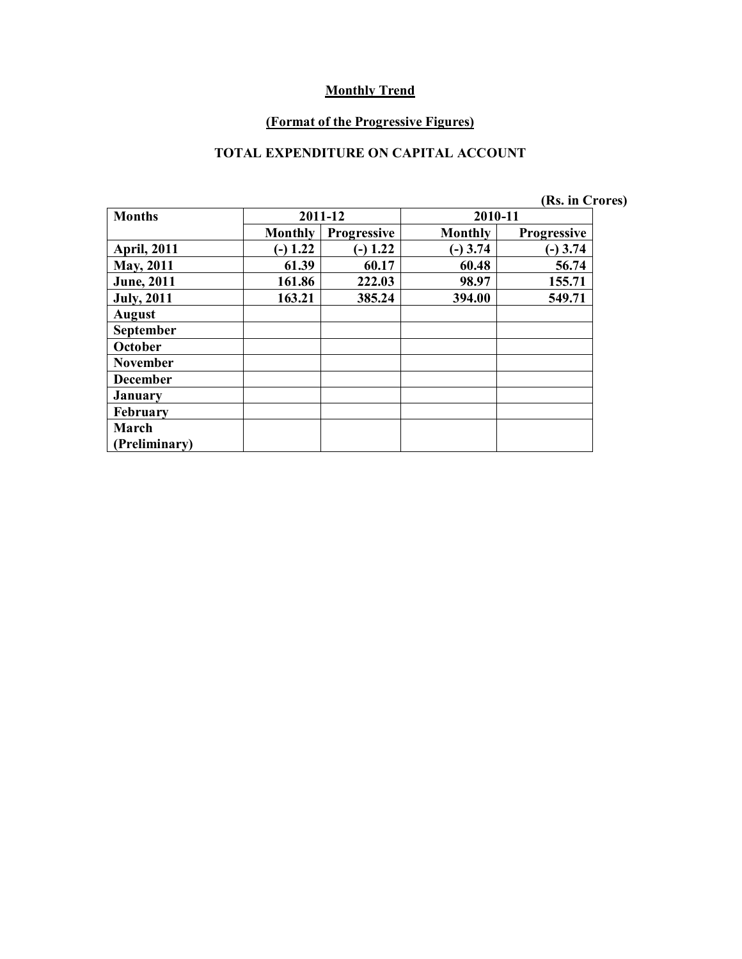#### **(Format of the Progressive Figures)**

#### **TOTAL EXPENDITURE ON CAPITAL ACCOUNT**

|                    |                |                    |            | (Rs. in Crores)    |
|--------------------|----------------|--------------------|------------|--------------------|
| <b>Months</b>      |                | 2011-12            | 2010-11    |                    |
|                    | <b>Monthly</b> | <b>Progressive</b> | Monthly    | <b>Progressive</b> |
| <b>April, 2011</b> | $(-) 1.22$     | 1.22<br>۱–         | $(-)$ 3.74 | $(-)$ 3.74         |
| <b>May, 2011</b>   | 61.39          | 60.17              | 60.48      | 56.74              |
| <b>June</b> , 2011 | 161.86         | 222.03             | 98.97      | 155.71             |
| <b>July, 2011</b>  | 163.21         | 385.24             | 394.00     | 549.71             |
| <b>August</b>      |                |                    |            |                    |
| September          |                |                    |            |                    |
| October            |                |                    |            |                    |
| <b>November</b>    |                |                    |            |                    |
| <b>December</b>    |                |                    |            |                    |
| <b>January</b>     |                |                    |            |                    |
| <b>February</b>    |                |                    |            |                    |
| March              |                |                    |            |                    |
| (Preliminary)      |                |                    |            |                    |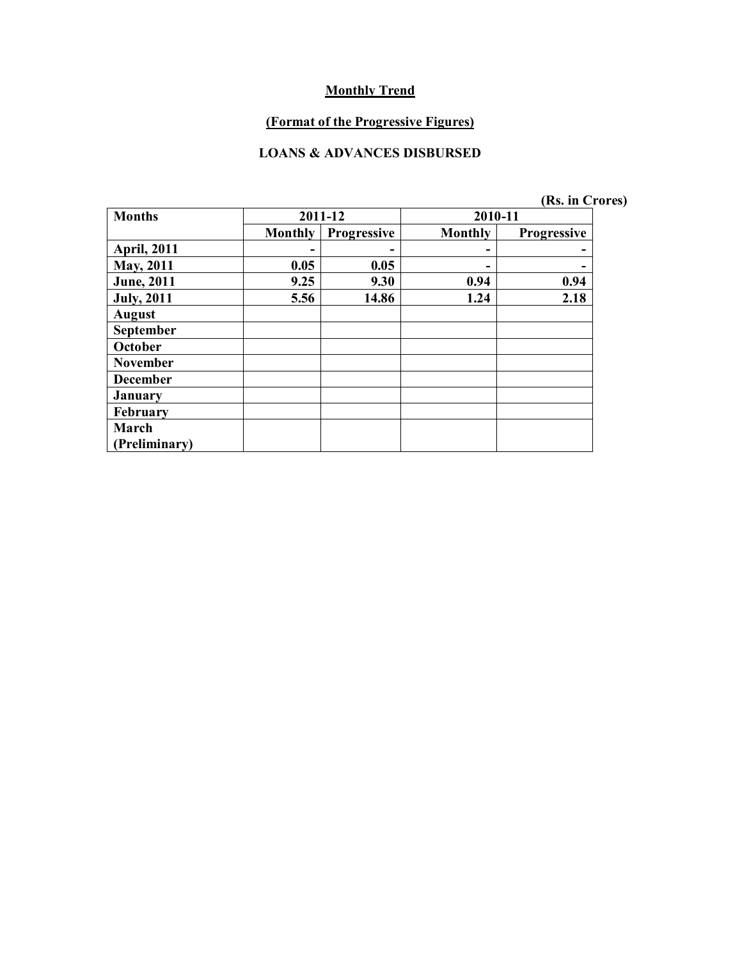### **(Format of the Progressive Figures)**

#### **LOANS & ADVANCES DISBURSED**

| <b>Months</b>      |                | 2011-12            | 2010-11 |                    |
|--------------------|----------------|--------------------|---------|--------------------|
|                    | <b>Monthly</b> | <b>Progressive</b> | Monthly | <b>Progressive</b> |
| <b>April, 2011</b> |                | -                  |         |                    |
| <b>May, 2011</b>   | 0.05           | 0.05               |         |                    |
| <b>June</b> , 2011 | 9.25           | 9.30               | 0.94    | 0.94               |
| <b>July, 2011</b>  | 5.56           | 14.86              | 1.24    | 2.18               |
| <b>August</b>      |                |                    |         |                    |
| September          |                |                    |         |                    |
| October            |                |                    |         |                    |
| <b>November</b>    |                |                    |         |                    |
| <b>December</b>    |                |                    |         |                    |
| <b>January</b>     |                |                    |         |                    |
| February           |                |                    |         |                    |
| March              |                |                    |         |                    |
| Preliminary)       |                |                    |         |                    |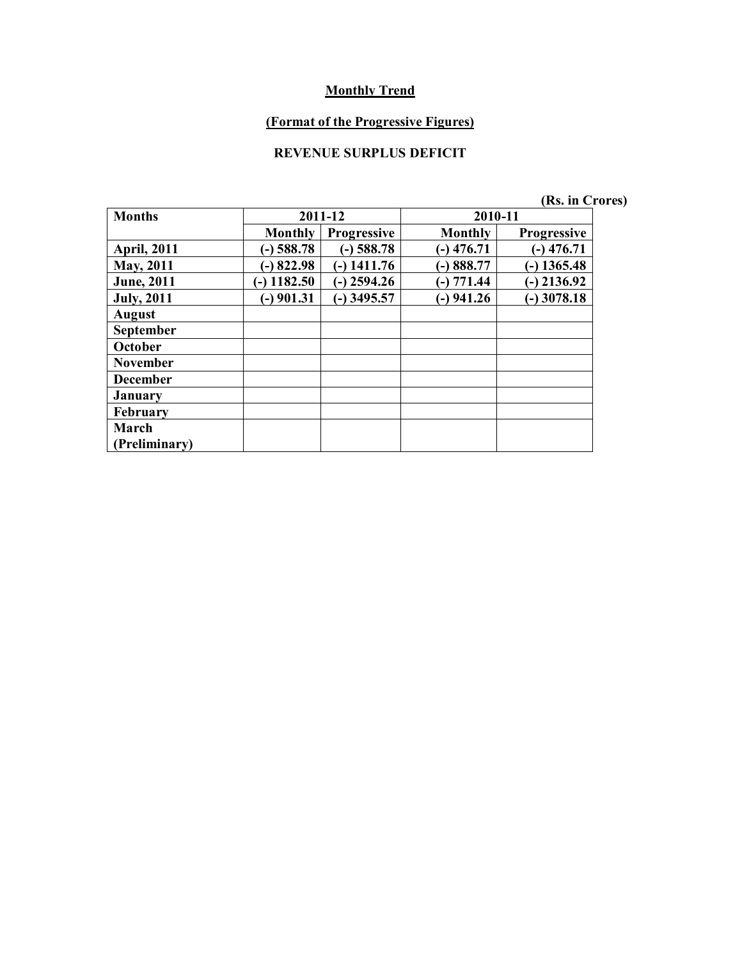# **(Format of the Progressive Figures)**

## **REVENUE SURPLUS DEFICIT**

| (Rs. in Crores) |  |  |  |  |  |  |  |  |  |  |  |  |  |  |  |  |  |  |  |  |  |  |  |  |  |  |  |  |  |  |  |  |  |  |  |  |  |  |  |  |  |  |  |  |  |  |  |  |  |  |  |  |  |  |  |  |  |  |  |  |  |  |  |  |  |  |  |  |  |  |  |  |  |  |  |  |  |  |  |  |  |  |  |  |  |  |  |  |  |  |  |  |  |  |  |  |  |  |  |  |  |  |  |  |  |  |  |  |  |  |  |  |  |  |  |  |  |  |  |  |  |  |  |  |  |  |  |  |  |  |  |  |  |  |  |  |  |  |  |  |  |  |  |  |  |  |
|-----------------|--|--|--|--|--|--|--|--|--|--|--|--|--|--|--|--|--|--|--|--|--|--|--|--|--|--|--|--|--|--|--|--|--|--|--|--|--|--|--|--|--|--|--|--|--|--|--|--|--|--|--|--|--|--|--|--|--|--|--|--|--|--|--|--|--|--|--|--|--|--|--|--|--|--|--|--|--|--|--|--|--|--|--|--|--|--|--|--|--|--|--|--|--|--|--|--|--|--|--|--|--|--|--|--|--|--|--|--|--|--|--|--|--|--|--|--|--|--|--|--|--|--|--|--|--|--|--|--|--|--|--|--|--|--|--|--|--|--|--|--|--|--|--|--|--|--|
|-----------------|--|--|--|--|--|--|--|--|--|--|--|--|--|--|--|--|--|--|--|--|--|--|--|--|--|--|--|--|--|--|--|--|--|--|--|--|--|--|--|--|--|--|--|--|--|--|--|--|--|--|--|--|--|--|--|--|--|--|--|--|--|--|--|--|--|--|--|--|--|--|--|--|--|--|--|--|--|--|--|--|--|--|--|--|--|--|--|--|--|--|--|--|--|--|--|--|--|--|--|--|--|--|--|--|--|--|--|--|--|--|--|--|--|--|--|--|--|--|--|--|--|--|--|--|--|--|--|--|--|--|--|--|--|--|--|--|--|--|--|--|--|--|--|--|--|--|

| <b>Months</b>        |                 | 2011-12            | 2010-11        |                    |
|----------------------|-----------------|--------------------|----------------|--------------------|
|                      | Monthly         | <b>Progressive</b> | <b>Monthly</b> | <b>Progressive</b> |
| <b>April, 2011</b>   | $(-)$ 588.78    | $(-)$ 588.78       | $-)$ 476.71    | $-$ ) 476.71       |
| <b>May, 2011</b>     | $-$ 822.98      | $-$ ) 1411.76      | $-)888.77$     | $-$ ) 1365.48      |
| <b>June</b> , 2011   | 1182.50<br>(۔ ا | $(-)$ 2594.26      | $-)$ 771.44    | $-$ ) 2136.92      |
| <b>July, 2011</b>    | $-$ ) 901.31    | $-$ ) 3495.57      | $(-)$ 941.26   | $-$ ) 3078.18      |
| <b>August</b>        |                 |                    |                |                    |
| <b>September</b>     |                 |                    |                |                    |
| October              |                 |                    |                |                    |
| <b>November</b>      |                 |                    |                |                    |
| <b>December</b>      |                 |                    |                |                    |
| <b>January</b>       |                 |                    |                |                    |
| February             |                 |                    |                |                    |
| March                |                 |                    |                |                    |
| <b>Preliminary</b> ) |                 |                    |                |                    |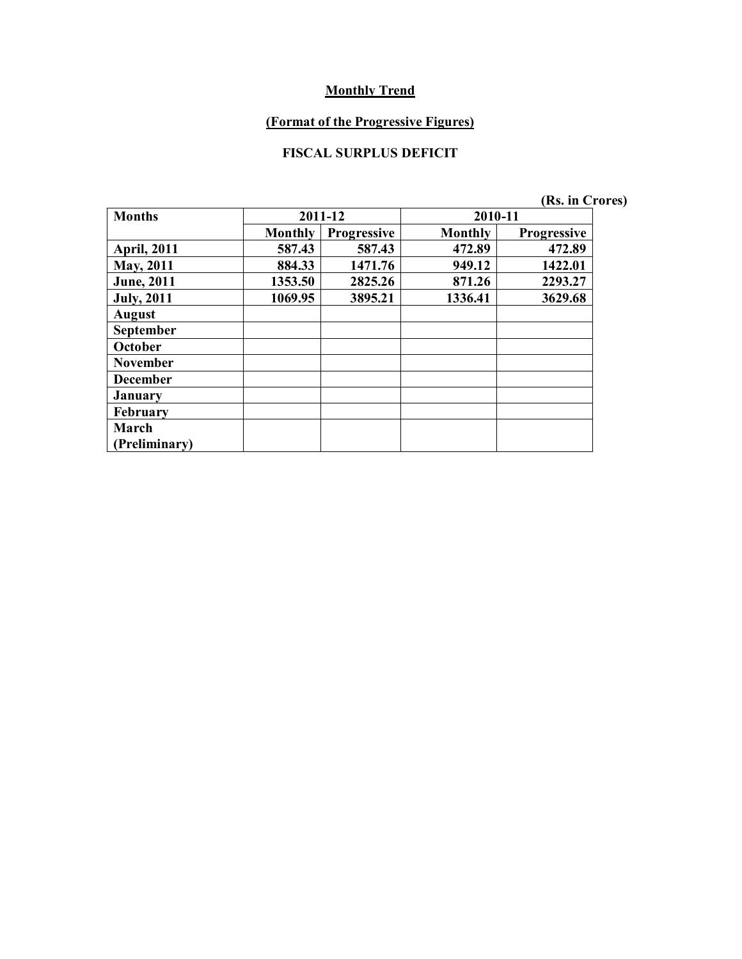#### **(Format of the Progressive Figures)**

### **FISCAL SURPLUS DEFICIT**

| <b>Months</b>      |                | 2011-12            | 2010-11        |                    |
|--------------------|----------------|--------------------|----------------|--------------------|
|                    | <b>Monthly</b> | <b>Progressive</b> | <b>Monthly</b> | <b>Progressive</b> |
| <b>April, 2011</b> | 587.43         | 587.43             | 472.89         | 472.89             |
| <b>May, 2011</b>   | 884.33         | 1471.76            | 949.12         | 1422.01            |
| <b>June</b> , 2011 | 1353.50        | 2825.26            | 871.26         | 2293.27            |
| <b>July</b> , 2011 | 1069.95        | 3895.21            | 1336.41        | 3629.68            |
| <b>August</b>      |                |                    |                |                    |
| <b>September</b>   |                |                    |                |                    |
| October            |                |                    |                |                    |
| <b>November</b>    |                |                    |                |                    |
| <b>December</b>    |                |                    |                |                    |
| <b>January</b>     |                |                    |                |                    |
| February           |                |                    |                |                    |
| March              |                |                    |                |                    |
| (Preliminary)      |                |                    |                |                    |